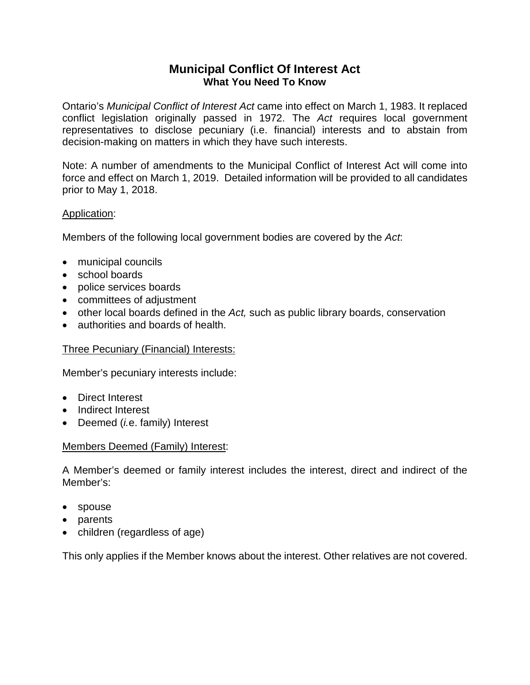# **Municipal Conflict Of Interest Act What You Need To Know**

Ontario's *Municipal Conflict of Interest Act* came into effect on March 1, 1983. It replaced conflict legislation originally passed in 1972. The *Act* requires local government representatives to disclose pecuniary (i.e. financial) interests and to abstain from decision-making on matters in which they have such interests.

Note: A number of amendments to the Municipal Conflict of Interest Act will come into force and effect on March 1, 2019. Detailed information will be provided to all candidates prior to May 1, 2018.

## Application:

Members of the following local government bodies are covered by the *Act*:

- municipal councils
- school boards
- police services boards
- committees of adjustment
- other local boards defined in the *Act,* such as public library boards, conservation
- authorities and boards of health.

## Three Pecuniary (Financial) Interests:

Member's pecuniary interests include:

- Direct Interest
- Indirect Interest
- Deemed (*i.*e. family) Interest

## Members Deemed (Family) Interest:

A Member's deemed or family interest includes the interest, direct and indirect of the Member's:

- spouse
- parents
- children (regardless of age)

This only applies if the Member knows about the interest. Other relatives are not covered.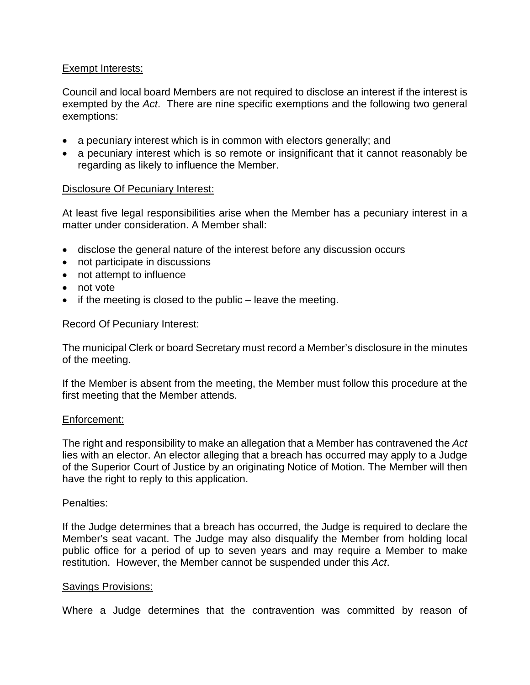## Exempt Interests:

Council and local board Members are not required to disclose an interest if the interest is exempted by the *Act*. There are nine specific exemptions and the following two general exemptions:

- a pecuniary interest which is in common with electors generally; and
- a pecuniary interest which is so remote or insignificant that it cannot reasonably be regarding as likely to influence the Member.

### Disclosure Of Pecuniary Interest:

At least five legal responsibilities arise when the Member has a pecuniary interest in a matter under consideration. A Member shall:

- disclose the general nature of the interest before any discussion occurs
- not participate in discussions
- not attempt to influence
- not vote
- if the meeting is closed to the public leave the meeting.

#### Record Of Pecuniary Interest:

The municipal Clerk or board Secretary must record a Member's disclosure in the minutes of the meeting.

If the Member is absent from the meeting, the Member must follow this procedure at the first meeting that the Member attends.

#### Enforcement:

The right and responsibility to make an allegation that a Member has contravened the *Act* lies with an elector. An elector alleging that a breach has occurred may apply to a Judge of the Superior Court of Justice by an originating Notice of Motion. The Member will then have the right to reply to this application.

#### Penalties:

If the Judge determines that a breach has occurred, the Judge is required to declare the Member's seat vacant. The Judge may also disqualify the Member from holding local public office for a period of up to seven years and may require a Member to make restitution. However, the Member cannot be suspended under this *Act*.

#### Savings Provisions:

Where a Judge determines that the contravention was committed by reason of